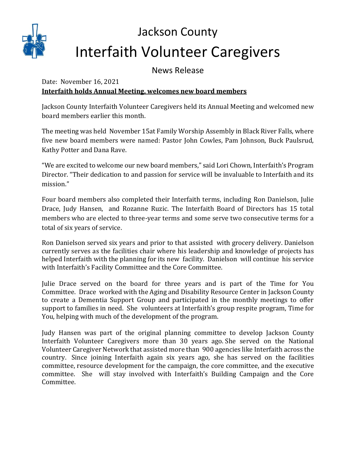

## Jackson County Interfaith Volunteer Caregivers

News Release

## Date: November 16, 2021 **Interfaith holds Annual Meeting, welcomes new board members**

Jackson County Interfaith Volunteer Caregivers held its Annual Meeting and welcomed new board members earlier this month.

The meeting was held November 15at Family Worship Assembly in Black River Falls, where five new board members were named: Pastor John Cowles, Pam Johnson, Buck Paulsrud, Kathy Potter and Dana Rave.

"We are excited to welcome our new board members," said Lori Chown, Interfaith's Program Director. "Their dedication to and passion for service will be invaluable to Interfaith and its mission."

Four board members also completed their Interfaith terms, including Ron Danielson, Julie Drace, Judy Hansen, and Rozanne Ruzic. The Interfaith Board of Directors has 15 total members who are elected to three-year terms and some serve two consecutive terms for a total of six years of service.

Ron Danielson served six years and prior to that assisted with grocery delivery. Danielson currently serves as the facilities chair where his leadership and knowledge of projects has helped Interfaith with the planning for its new facility. Danielson will continue his service with Interfaith's Facility Committee and the Core Committee.

Julie Drace served on the board for three years and is part of the Time for You Committee. Drace worked with the Aging and Disability Resource Center in Jackson County to create a Dementia Support Group and participated in the monthly meetings to offer support to families in need. She volunteers at Interfaith's group respite program, Time for You, helping with much of the development of the program.

Judy Hansen was part of the original planning committee to develop Jackson County Interfaith Volunteer Caregivers more than 30 years ago. She served on the National Volunteer Caregiver Network that assisted more than 900 agencies like Interfaith across the country. Since joining Interfaith again six years ago, she has served on the facilities committee, resource development for the campaign, the core committee, and the executive committee. She will stay involved with Interfaith's Building Campaign and the Core Committee.